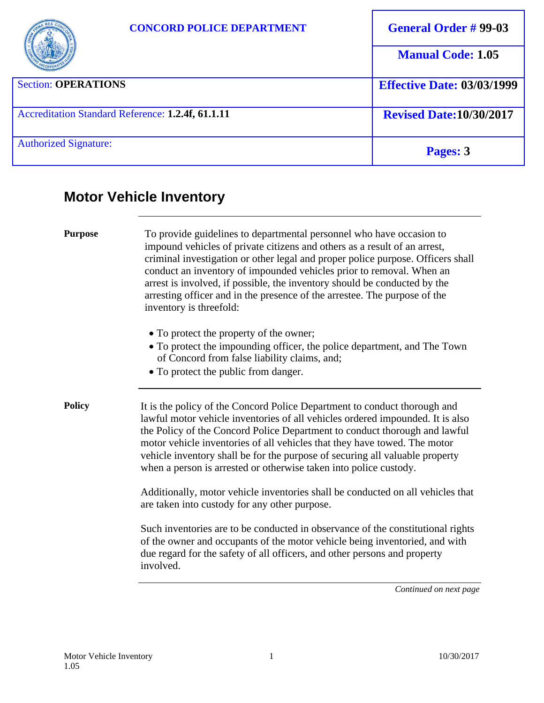|                                                   | <b>CONCORD POLICE DEPARTMENT</b> | <b>General Order #99-03</b>       |
|---------------------------------------------------|----------------------------------|-----------------------------------|
|                                                   |                                  | <b>Manual Code: 1.05</b>          |
| <b>Section: OPERATIONS</b>                        |                                  | <b>Effective Date: 03/03/1999</b> |
| Accreditation Standard Reference: 1.2.4f, 61.1.11 |                                  | <b>Revised Date: 10/30/2017</b>   |
| <b>Authorized Signature:</b>                      |                                  | Pages: 3                          |

# **Motor Vehicle Inventory**

| <b>Purpose</b> | To provide guidelines to departmental personnel who have occasion to<br>impound vehicles of private citizens and others as a result of an arrest,<br>criminal investigation or other legal and proper police purpose. Officers shall<br>conduct an inventory of impounded vehicles prior to removal. When an<br>arrest is involved, if possible, the inventory should be conducted by the<br>arresting officer and in the presence of the arrestee. The purpose of the<br>inventory is threefold: |
|----------------|---------------------------------------------------------------------------------------------------------------------------------------------------------------------------------------------------------------------------------------------------------------------------------------------------------------------------------------------------------------------------------------------------------------------------------------------------------------------------------------------------|
|                | • To protect the property of the owner;<br>• To protect the impounding officer, the police department, and The Town<br>of Concord from false liability claims, and;<br>• To protect the public from danger.                                                                                                                                                                                                                                                                                       |
| <b>Policy</b>  | It is the policy of the Concord Police Department to conduct thorough and<br>lawful motor vehicle inventories of all vehicles ordered impounded. It is also<br>the Policy of the Concord Police Department to conduct thorough and lawful<br>motor vehicle inventories of all vehicles that they have towed. The motor<br>vehicle inventory shall be for the purpose of securing all valuable property<br>when a person is arrested or otherwise taken into police custody.                       |
|                | Additionally, motor vehicle inventories shall be conducted on all vehicles that<br>are taken into custody for any other purpose.                                                                                                                                                                                                                                                                                                                                                                  |
|                | Such inventories are to be conducted in observance of the constitutional rights<br>of the owner and occupants of the motor vehicle being inventoried, and with<br>due regard for the safety of all officers, and other persons and property<br>involved.                                                                                                                                                                                                                                          |
|                | Continued on next page                                                                                                                                                                                                                                                                                                                                                                                                                                                                            |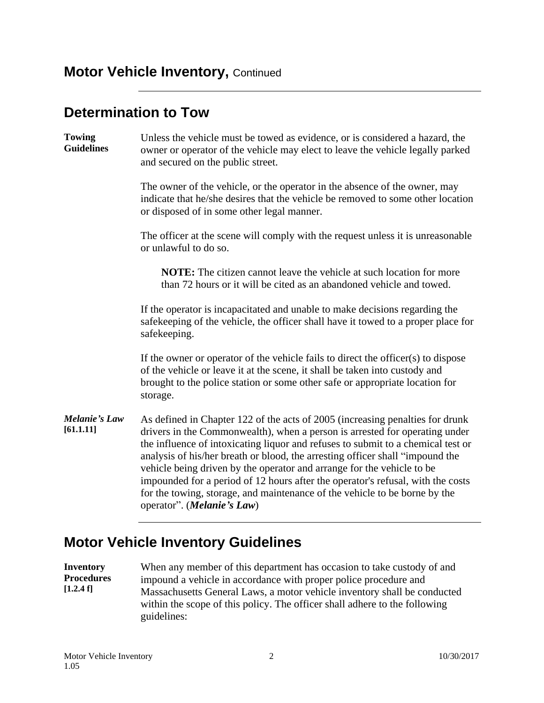## **Motor Vehicle Inventory, Continued**

#### **Determination to Tow**

| Unless the vehicle must be towed as evidence, or is considered a hazard, the<br>owner or operator of the vehicle may elect to leave the vehicle legally parked<br>and secured on the public street.                                                                                                                                                                                                                                                                                                                                                                                                                 |  |
|---------------------------------------------------------------------------------------------------------------------------------------------------------------------------------------------------------------------------------------------------------------------------------------------------------------------------------------------------------------------------------------------------------------------------------------------------------------------------------------------------------------------------------------------------------------------------------------------------------------------|--|
| The owner of the vehicle, or the operator in the absence of the owner, may<br>indicate that he/she desires that the vehicle be removed to some other location<br>or disposed of in some other legal manner.                                                                                                                                                                                                                                                                                                                                                                                                         |  |
| The officer at the scene will comply with the request unless it is unreasonable<br>or unlawful to do so.                                                                                                                                                                                                                                                                                                                                                                                                                                                                                                            |  |
| <b>NOTE:</b> The citizen cannot leave the vehicle at such location for more<br>than 72 hours or it will be cited as an abandoned vehicle and towed.                                                                                                                                                                                                                                                                                                                                                                                                                                                                 |  |
| If the operator is incapacitated and unable to make decisions regarding the<br>safekeeping of the vehicle, the officer shall have it towed to a proper place for<br>safekeeping.                                                                                                                                                                                                                                                                                                                                                                                                                                    |  |
| If the owner or operator of the vehicle fails to direct the officer(s) to dispose<br>of the vehicle or leave it at the scene, it shall be taken into custody and<br>brought to the police station or some other safe or appropriate location for<br>storage.                                                                                                                                                                                                                                                                                                                                                        |  |
| As defined in Chapter 122 of the acts of 2005 (increasing penalties for drunk<br>drivers in the Commonwealth), when a person is arrested for operating under<br>the influence of intoxicating liquor and refuses to submit to a chemical test or<br>analysis of his/her breath or blood, the arresting officer shall "impound the<br>vehicle being driven by the operator and arrange for the vehicle to be<br>impounded for a period of 12 hours after the operator's refusal, with the costs<br>for the towing, storage, and maintenance of the vehicle to be borne by the<br>operator". ( <i>Melanie's Law</i> ) |  |
|                                                                                                                                                                                                                                                                                                                                                                                                                                                                                                                                                                                                                     |  |

## **Motor Vehicle Inventory Guidelines**

**Inventory Procedures [1.2.4 f]** When any member of this department has occasion to take custody of and impound a vehicle in accordance with proper police procedure and Massachusetts General Laws, a motor vehicle inventory shall be conducted within the scope of this policy. The officer shall adhere to the following guidelines: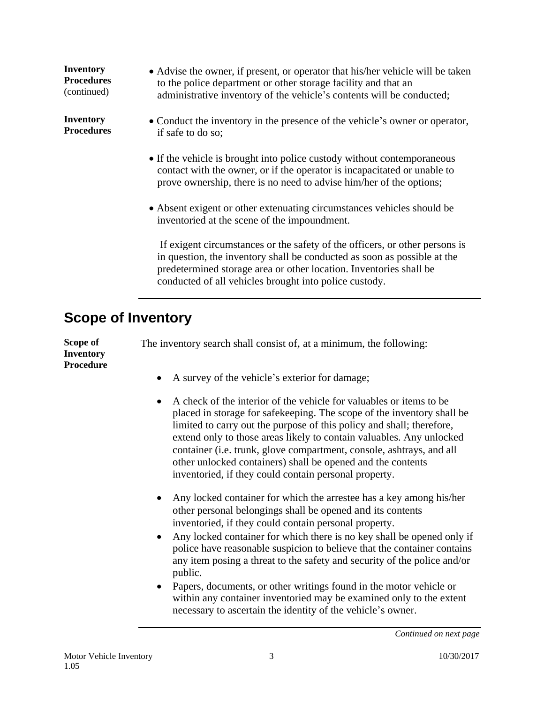| <b>Inventory</b><br><b>Procedures</b><br>(continued) | • Advise the owner, if present, or operator that his/her vehicle will be taken<br>to the police department or other storage facility and that an<br>administrative inventory of the vehicle's contents will be conducted;                                                               |
|------------------------------------------------------|-----------------------------------------------------------------------------------------------------------------------------------------------------------------------------------------------------------------------------------------------------------------------------------------|
| <b>Inventory</b><br><b>Procedures</b>                | • Conduct the inventory in the presence of the vehicle's owner or operator,<br>if safe to do so;                                                                                                                                                                                        |
|                                                      | • If the vehicle is brought into police custody without contemporaneous<br>contact with the owner, or if the operator is incapacitated or unable to<br>prove ownership, there is no need to advise him/her of the options;                                                              |
|                                                      | • Absent exigent or other extenuating circumstances vehicles should be<br>inventoried at the scene of the impoundment.                                                                                                                                                                  |
|                                                      | If exigent circumstances or the safety of the officers, or other persons is<br>in question, the inventory shall be conducted as soon as possible at the<br>predetermined storage area or other location. Inventories shall be<br>conducted of all vehicles brought into police custody. |

## **Scope of Inventory**

**Scope of Inventory Procedure** The inventory search shall consist of, at a minimum, the following:

- A survey of the vehicle's exterior for damage;
- A check of the interior of the vehicle for valuables or items to be placed in storage for safekeeping. The scope of the inventory shall be limited to carry out the purpose of this policy and shall; therefore, extend only to those areas likely to contain valuables. Any unlocked container (i.e. trunk, glove compartment, console, ashtrays, and all other unlocked containers) shall be opened and the contents inventoried, if they could contain personal property.
- Any locked container for which the arrestee has a key among his/her other personal belongings shall be opened and its contents inventoried, if they could contain personal property.
- Any locked container for which there is no key shall be opened only if police have reasonable suspicion to believe that the container contains any item posing a threat to the safety and security of the police and/or public.
- Papers, documents, or other writings found in the motor vehicle or within any container inventoried may be examined only to the extent necessary to ascertain the identity of the vehicle's owner.